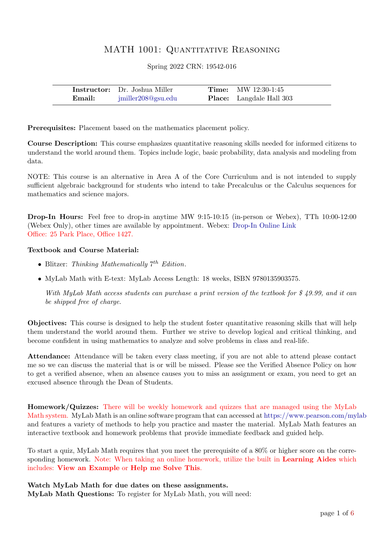# MATH 1001: QUANTITATIVE REASONING

Spring 2022 CRN: 19542-016

|        | <b>Instructor:</b> Dr. Joshua Miller | <b>Time:</b> MW $12:30-1:45$    |
|--------|--------------------------------------|---------------------------------|
| Email: | jmiller208@gsu.edu                   | <b>Place:</b> Langdale Hall 303 |

Prerequisites: Placement based on the mathematics placement policy.

Course Description: This course emphasizes quantitative reasoning skills needed for informed citizens to understand the world around them. Topics include logic, basic probability, data analysis and modeling from data.

NOTE: This course is an alternative in Area A of the Core Curriculum and is not intended to supply sufficient algebraic background for students who intend to take Precalculus or the Calculus sequences for mathematics and science majors.

Drop-In Hours: Feel free to drop-in anytime MW 9:15-10:15 (in-person or Webex), TTh 10:00-12:00 (Webex Only), other times are available by appointment. Webex: [Drop-In Online Link](http://gsumeetings.webex.com/join/jmiller208) Office: 25 Park Place, Office 1427.

### Textbook and Course Material:

- Blitzer: Thinking Mathematically  $7^{th}$  Edition.
- MyLab Math with E-text: MyLab Access Length: 18 weeks, ISBN 9780135903575.

With MyLab Math access students can purchase a print version of the textbook for \$49.99, and it can be shipped free of charge.

Objectives: This course is designed to help the student foster quantitative reasoning skills that will help them understand the world around them. Further we strive to develop logical and critical thinking, and become confident in using mathematics to analyze and solve problems in class and real-life.

Attendance: Attendance will be taken every class meeting, if you are not able to attend please contact me so we can discuss the material that is or will be missed. Please see the Verified Absence Policy on how to get a verified absence, when an absence causes you to miss an assignment or exam, you need to get an excused absence through the Dean of Students.

Homework/Quizzes: There will be weekly homework and quizzes that are managed using the MyLab Math system. MyLab Math is an online software program that can accessed at <https://www.pearson.com/mylab> and features a variety of methods to help you practice and master the material. MyLab Math features an interactive textbook and homework problems that provide immediate feedback and guided help.

To start a quiz, MyLab Math requires that you meet the prerequisite of a 80% or higher score on the corresponding homework. Note: When taking an online homework, utilize the built in **Learning Aides** which includes: View an Example or Help me Solve This.

Watch MyLab Math for due dates on these assignments. MyLab Math Questions: To register for MyLab Math, you will need: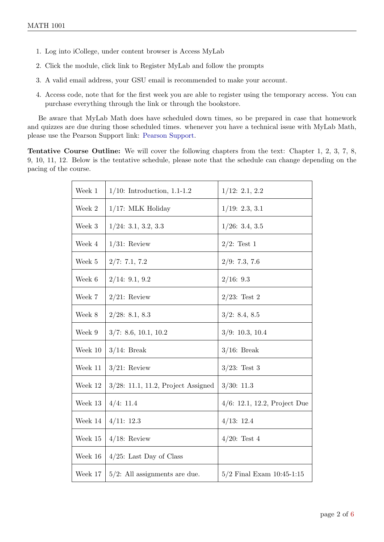- 1. Log into iCollege, under content browser is Access MyLab
- 2. Click the module, click link to Register MyLab and follow the prompts
- 3. A valid email address, your GSU email is recommended to make your account.
- 4. Access code, note that for the first week you are able to register using the temporary access. You can purchase everything through the link or through the bookstore.

Be aware that MyLab Math does have scheduled down times, so be prepared in case that homework and quizzes are due during those scheduled times. whenever you have a technical issue with MyLab Math, please use the Pearson Support link: [Pearson Support.](https://support.pearson.com/getsupport/s/contactsupport )

Tentative Course Outline: We will cover the following chapters from the text: Chapter 1, 2, 3, 7, 8, 9, 10, 11, 12. Below is the tentative schedule, please note that the schedule can change depending on the pacing of the course.

| Week 1      | $1/10$ : Introduction, 1.1-1.2     | 1/12: 2.1, 2.2                |
|-------------|------------------------------------|-------------------------------|
| Week 2      | 1/17: MLK Holiday                  | 1/19: 2.3, 3.1                |
| Week 3      | 1/24: 3.1, 3.2, 3.3                | 1/26: 3.4, 3.5                |
| Week 4      | $1/31$ : Review                    | $2/2$ : Test 1                |
| Week 5      | 2/7: 7.1, 7.2                      | 2/9: 7.3, 7.6                 |
| Week 6      | 2/14: 9.1, 9.2                     | 2/16: 9.3                     |
| Week 7      | $2/21$ : Review                    | $2/23$ : Test 2               |
| Week 8      | 2/28: 8.1, 8.3                     | 3/2: 8.4, 8.5                 |
| Week 9      | 3/7: 8.6, 10.1, 10.2               | 3/9: 10.3, 10.4               |
| Week 10     | $3/14$ : Break                     | $3/16$ : Break                |
| Week 11     | $3/21$ : Review                    | $3/23$ : Test 3               |
| Week 12     | 3/28: 11.1, 11.2, Project Assigned | 3/30: 11.3                    |
| Week 13     | 4/4: 11.4                          | 4/6: 12.1, 12.2, Project Due  |
| Week 14     | 4/11: 12.3                         | 4/13: 12.4                    |
| Week $15\,$ | $4/18$ : Review                    | $4/20$ : Test 4               |
| Week 16     | $4/25$ : Last Day of Class         |                               |
| Week 17     | $5/2$ : All assignments are due.   | $5/2$ Final Exam $10:45-1:15$ |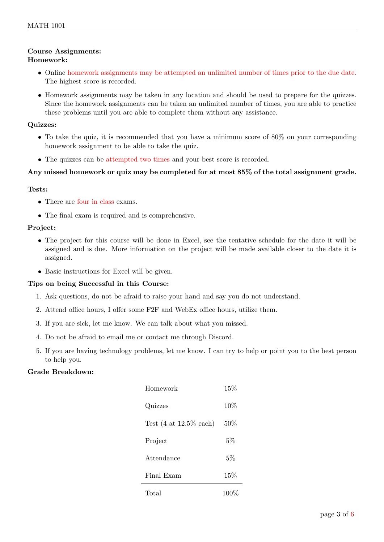# Course Assignments:

# Homework:

- Online homework assignments may be attempted an unlimited number of times prior to the due date. The highest score is recorded.
- Homework assignments may be taken in any location and should be used to prepare for the quizzes. Since the homework assignments can be taken an unlimited number of times, you are able to practice these problems until you are able to complete them without any assistance.

## Quizzes:

- To take the quiz, it is recommended that you have a minimum score of 80% on your corresponding homework assignment to be able to take the quiz.
- The quizzes can be attempted two times and your best score is recorded.

## Any missed homework or quiz may be completed for at most 85% of the total assignment grade.

## Tests:

- There are four in class exams.
- The final exam is required and is comprehensive.

# Project:

- The project for this course will be done in Excel, see the tentative schedule for the date it will be assigned and is due. More information on the project will be made available closer to the date it is assigned.
- Basic instructions for Excel will be given.

## Tips on being Successful in this Course:

- 1. Ask questions, do not be afraid to raise your hand and say you do not understand.
- 2. Attend office hours, I offer some F2F and WebEx office hours, utilize them.
- 3. If you are sick, let me know. We can talk about what you missed.
- 4. Do not be afraid to email me or contact me through Discord.
- 5. If you are having technology problems, let me know. I can try to help or point you to the best person to help you.

## Grade Breakdown:

| Homework                                   | 15%    |
|--------------------------------------------|--------|
| Quizzes                                    | $10\%$ |
| Test $(4 \text{ at } 12.5\% \text{ each})$ | 50%    |
| Project                                    | 5%     |
| Attendance                                 | 5%     |
| Final Exam                                 | $15\%$ |
| Total                                      | 100    |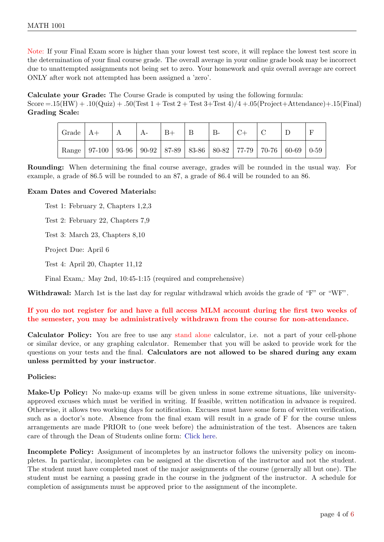Note: If your Final Exam score is higher than your lowest test score, it will replace the lowest test score in the determination of your final course grade. The overall average in your online grade book may be incorrect due to unattempted assignments not being set to zero. Your homework and quiz overall average are correct ONLY after work not attempted has been assigned a 'zero'.

Calculate your Grade: The Course Grade is computed by using the following formula:

Score  $= .15(HW) + .10(Qu) + .50(Test 1 + Test 2 + Test 3 + Test 4)/4 + .05(Project + Attendance) + .15(Final)$ Grading Scale:

| $\vert$ Grade $\vert$ A+ |                                                                                       | A | $A-$ | $ B+$ | Β | $B-$ |  |  |
|--------------------------|---------------------------------------------------------------------------------------|---|------|-------|---|------|--|--|
|                          | Range   97-100   93-96   90-92   87-89   83-86   80-82   77-79   70-76   60-69   0-59 |   |      |       |   |      |  |  |

Rounding: When determining the final course average, grades will be rounded in the usual way. For example, a grade of 86.5 will be rounded to an 87, a grade of 86.4 will be rounded to an 86.

### Exam Dates and Covered Materials:

Test 1: February 2, Chapters 1,2,3

Test 2: February 22, Chapters 7,9

Test 3: March 23, Chapters 8,10

Project Due: April 6

Test 4: April 20, Chapter 11,12

Final Exam,: May 2nd, 10:45-1:15 (required and comprehensive)

Withdrawal: March 1st is the last day for regular withdrawal which avoids the grade of "F" or "WF".

## If you do not register for and have a full access MLM account during the first two weeks of the semester, you may be administratively withdrawn from the course for non-attendance.

Calculator Policy: You are free to use any stand alone calculator, i.e. not a part of your cell-phone or similar device, or any graphing calculator. Remember that you will be asked to provide work for the questions on your tests and the final. Calculators are not allowed to be shared during any exam unless permitted by your instructor.

### Policies:

Make-Up Policy: No make-up exams will be given unless in some extreme situations, like universityapproved excuses which must be verified in writing. If feasible, written notification in advance is required. Otherwise, it allows two working days for notification. Excuses must have some form of written verification, such as a doctor's note. Absence from the final exam will result in a grade of F for the course unless arrangements are made PRIOR to (one week before) the administration of the test. Absences are taken care of through the Dean of Students online form: [Click here.](https://deanofstudents.gsu.edu/student-assistance/professor-absence-notification/)

Incomplete Policy: Assignment of incompletes by an instructor follows the university policy on incompletes. In particular, incompletes can be assigned at the discretion of the instructor and not the student. The student must have completed most of the major assignments of the course (generally all but one). The student must be earning a passing grade in the course in the judgment of the instructor. A schedule for completion of assignments must be approved prior to the assignment of the incomplete.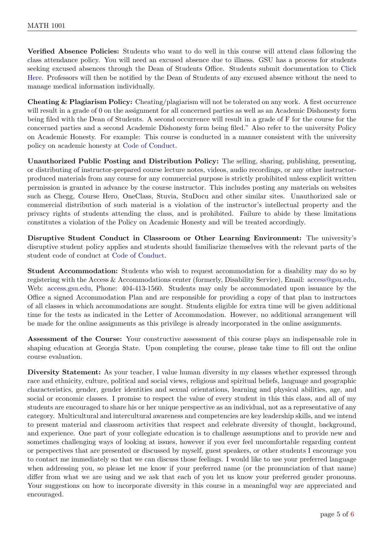Verified Absence Policies: Students who want to do well in this course will attend class following the class attendance policy. You will need an excused absence due to illness. GSU has a process for students seeking excused absences through the Dean of Students Office. Students submit documentation to [Click](https://deanofstudents.gsu.edu/student-assistance/professor-absence-notification/) [Here.](https://deanofstudents.gsu.edu/student-assistance/professor-absence-notification/) Professors will then be notified by the Dean of Students of any excused absence without the need to manage medical information individually.

Cheating & Plagiarism Policy: Cheating/plagiarism will not be tolerated on any work. A first occurrence will result in a grade of 0 on the assignment for all concerned parties as well as an Academic Dishonesty form being filed with the Dean of Students. A second occurrence will result in a grade of F for the course for the concerned parties and a second Academic Dishonesty form being filed." Also refer to the university Policy on Academic Honesty. For example: This course is conducted in a manner consistent with the university policy on academic honesty at [Code of Conduct.](http://codeofconduct.gsu.edu/)

Unauthorized Public Posting and Distribution Policy: The selling, sharing, publishing, presenting, or distributing of instructor-prepared course lecture notes, videos, audio recordings, or any other instructorproduced materials from any course for any commercial purpose is strictly prohibited unless explicit written permission is granted in advance by the course instructor. This includes posting any materials on websites such as Chegg, Course Hero, OneClass, Stuvia, StuDocu and other similar sites. Unauthorized sale or commercial distribution of such material is a violation of the instructor's intellectual property and the privacy rights of students attending the class, and is prohibited. Failure to abide by these limitations constitutes a violation of the Policy on Academic Honesty and will be treated accordingly.

Disruptive Student Conduct in Classroom or Other Learning Environment: The university's disruptive student policy applies and students should familiarize themselves with the relevant parts of the student code of conduct at [Code of Conduct.](http://codeofconduct.gsu.edu/)

Student Accommodation: Students who wish to request accommodation for a disability may do so by registering with the Access & Accommodations center (formerly, Disability Service), Email: [access@gsu.edu,](mailto: access@gsu.edu) Web: [access.gsu.edu,](https://access.gsu.edu) Phone: 404-413-1560. Students may only be accommodated upon issuance by the Office a signed Accommodation Plan and are responsible for providing a copy of that plan to instructors of all classes in which accommodations are sought. Students eligible for extra time will be given additional time for the tests as indicated in the Letter of Accommodation. However, no additional arrangement will be made for the online assignments as this privilege is already incorporated in the online assignments.

Assessment of the Course: Your constructive assessment of this course plays an indispensable role in shaping education at Georgia State. Upon completing the course, please take time to fill out the online course evaluation.

Diversity Statement: As your teacher, I value human diversity in my classes whether expressed through race and ethnicity, culture, political and social views, religious and spiritual beliefs, language and geographic characteristics, gender, gender identities and sexual orientations, learning and physical abilities, age, and social or economic classes. I promise to respect the value of every student in this this class, and all of my students are encouraged to share his or her unique perspective as an individual, not as a representative of any category. Multicultural and intercultural awareness and competencies are key leadership skills, and we intend to present material and classroom activities that respect and celebrate diversity of thought, background, and experience. One part of your collegiate education is to challenge assumptions and to provide new and sometimes challenging ways of looking at issues, however if you ever feel uncomfortable regarding content or perspectives that are presented or discussed by myself, guest speakers, or other students I encourage you to contact me immediately so that we can discuss those feelings. I would like to use your preferred language when addressing you, so please let me know if your preferred name (or the pronunciation of that name) differ from what we are using and we ask that each of you let us know your preferred gender pronouns. Your suggestions on how to incorporate diversity in this course in a meaningful way are appreciated and encouraged.